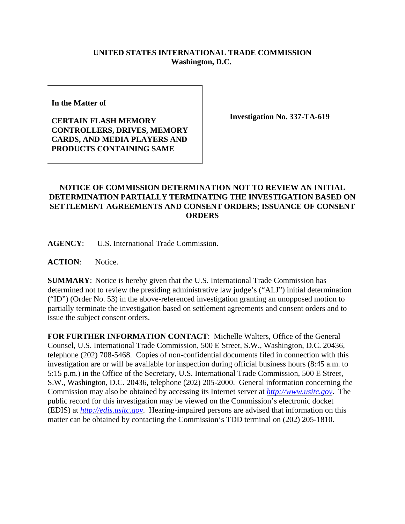## **UNITED STATES INTERNATIONAL TRADE COMMISSION Washington, D.C.**

**In the Matter of** 

**CERTAIN FLASH MEMORY CONTROLLERS, DRIVES, MEMORY CARDS, AND MEDIA PLAYERS AND PRODUCTS CONTAINING SAME**

**Investigation No. 337-TA-619**

## **NOTICE OF COMMISSION DETERMINATION NOT TO REVIEW AN INITIAL DETERMINATION PARTIALLY TERMINATING THE INVESTIGATION BASED ON SETTLEMENT AGREEMENTS AND CONSENT ORDERS; ISSUANCE OF CONSENT ORDERS**

**AGENCY**: U.S. International Trade Commission.

**ACTION**: Notice.

**SUMMARY**: Notice is hereby given that the U.S. International Trade Commission has determined not to review the presiding administrative law judge's ("ALJ") initial determination ("ID") (Order No. 53) in the above-referenced investigation granting an unopposed motion to partially terminate the investigation based on settlement agreements and consent orders and to issue the subject consent orders.

**FOR FURTHER INFORMATION CONTACT**: Michelle Walters, Office of the General Counsel, U.S. International Trade Commission, 500 E Street, S.W., Washington, D.C. 20436, telephone (202) 708-5468. Copies of non-confidential documents filed in connection with this investigation are or will be available for inspection during official business hours (8:45 a.m. to 5:15 p.m.) in the Office of the Secretary, U.S. International Trade Commission, 500 E Street, S.W., Washington, D.C. 20436, telephone (202) 205-2000. General information concerning the Commission may also be obtained by accessing its Internet server at *http://www.usitc.gov*. The public record for this investigation may be viewed on the Commission's electronic docket (EDIS) at *http://edis.usitc.gov*. Hearing-impaired persons are advised that information on this matter can be obtained by contacting the Commission's TDD terminal on (202) 205-1810.